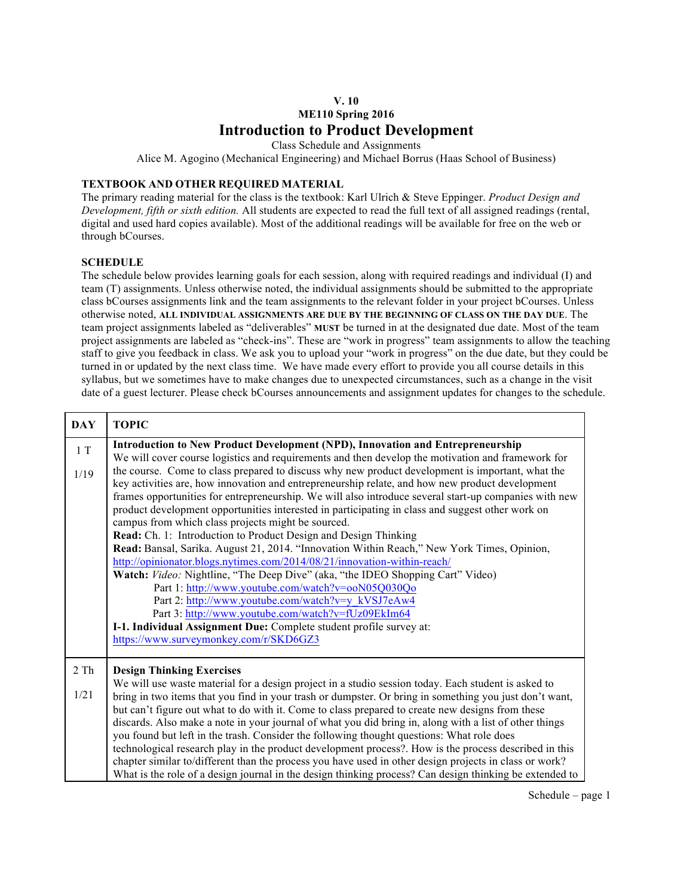## **V. 10 ME110 Spring 2016 Introduction to Product Development**

Class Schedule and Assignments

Alice M. Agogino (Mechanical Engineering) and Michael Borrus (Haas School of Business)

## **TEXTBOOK AND OTHER REQUIRED MATERIAL**

The primary reading material for the class is the textbook: Karl Ulrich & Steve Eppinger. *Product Design and Development, fifth or sixth edition.* All students are expected to read the full text of all assigned readings (rental, digital and used hard copies available). Most of the additional readings will be available for free on the web or through bCourses.

## **SCHEDULE**

The schedule below provides learning goals for each session, along with required readings and individual (I) and team (T) assignments. Unless otherwise noted, the individual assignments should be submitted to the appropriate class bCourses assignments link and the team assignments to the relevant folder in your project bCourses. Unless otherwise noted, **ALL INDIVIDUAL ASSIGNMENTS ARE DUE BY THE BEGINNING OF CLASS ON THE DAY DUE**. The team project assignments labeled as "deliverables" **MUST** be turned in at the designated due date. Most of the team project assignments are labeled as "check-ins". These are "work in progress" team assignments to allow the teaching staff to give you feedback in class. We ask you to upload your "work in progress" on the due date, but they could be turned in or updated by the next class time. We have made every effort to provide you all course details in this syllabus, but we sometimes have to make changes due to unexpected circumstances, such as a change in the visit date of a guest lecturer. Please check bCourses announcements and assignment updates for changes to the schedule.

| <b>DAY</b>           | <b>TOPIC</b>                                                                                                                                                                                                                                                                                                                                                                                                                                                                                                                                                                                                                                                                                                                                                                                                                                                                                                                                                                                                                                                                                                                                                                                                                                                                           |
|----------------------|----------------------------------------------------------------------------------------------------------------------------------------------------------------------------------------------------------------------------------------------------------------------------------------------------------------------------------------------------------------------------------------------------------------------------------------------------------------------------------------------------------------------------------------------------------------------------------------------------------------------------------------------------------------------------------------------------------------------------------------------------------------------------------------------------------------------------------------------------------------------------------------------------------------------------------------------------------------------------------------------------------------------------------------------------------------------------------------------------------------------------------------------------------------------------------------------------------------------------------------------------------------------------------------|
| $1\ {\rm T}$<br>1/19 | <b>Introduction to New Product Development (NPD), Innovation and Entrepreneurship</b><br>We will cover course logistics and requirements and then develop the motivation and framework for<br>the course. Come to class prepared to discuss why new product development is important, what the<br>key activities are, how innovation and entrepreneurship relate, and how new product development<br>frames opportunities for entrepreneurship. We will also introduce several start-up companies with new<br>product development opportunities interested in participating in class and suggest other work on<br>campus from which class projects might be sourced.<br>Read: Ch. 1: Introduction to Product Design and Design Thinking<br>Read: Bansal, Sarika. August 21, 2014. "Innovation Within Reach," New York Times, Opinion,<br>http://opinionator.blogs.nytimes.com/2014/08/21/innovation-within-reach/<br>Watch: Video: Nightline, "The Deep Dive" (aka, "the IDEO Shopping Cart" Video)<br>Part 1: http://www.youtube.com/watch?v=ooN05Q030Qo<br>Part 2: http://www.youtube.com/watch?v=y kVSJ7eAw4<br>Part 3: http://www.youtube.com/watch?v=fUz09EkIm64<br>I-1. Individual Assignment Due: Complete student profile survey at:<br>https://www.surveymonkey.com/r/SKD6GZ3 |
| 2 Th<br>1/21         | <b>Design Thinking Exercises</b><br>We will use waste material for a design project in a studio session today. Each student is asked to<br>bring in two items that you find in your trash or dumpster. Or bring in something you just don't want,<br>but can't figure out what to do with it. Come to class prepared to create new designs from these<br>discards. Also make a note in your journal of what you did bring in, along with a list of other things<br>you found but left in the trash. Consider the following thought questions: What role does<br>technological research play in the product development process?. How is the process described in this<br>chapter similar to/different than the process you have used in other design projects in class or work?<br>What is the role of a design journal in the design thinking process? Can design thinking be extended to                                                                                                                                                                                                                                                                                                                                                                                             |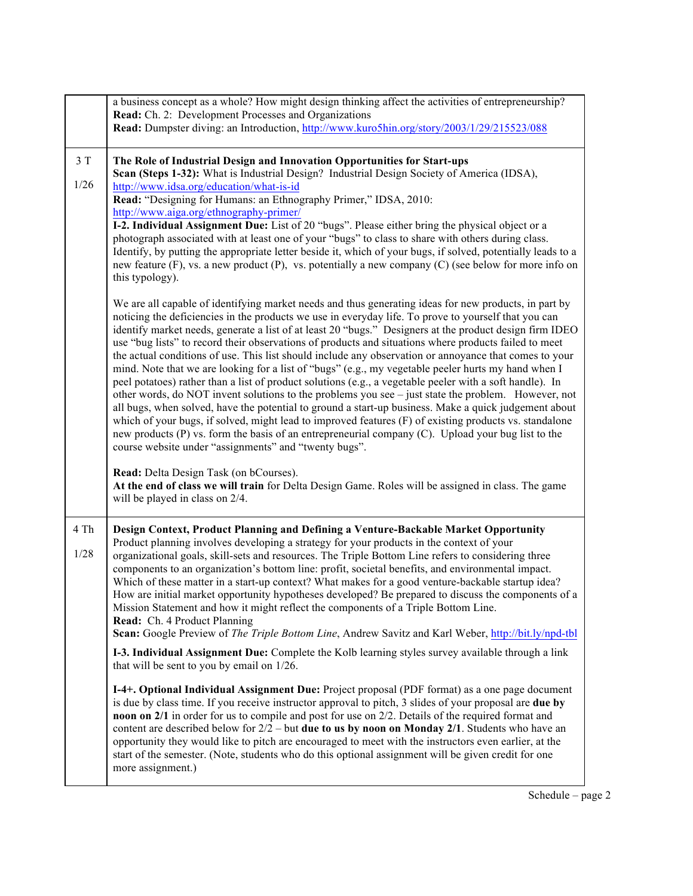|                | a business concept as a whole? How might design thinking affect the activities of entrepreneurship?<br>Read: Ch. 2: Development Processes and Organizations<br>Read: Dumpster diving: an Introduction, http://www.kuro5hin.org/story/2003/1/29/215523/088                                                                                                                                                                                                                                                                                                                                                                                                                                                                                                                                                                                                                                                                                                                                                                                                                                                                                                                                                                                                                                                                                                                                               |
|----------------|---------------------------------------------------------------------------------------------------------------------------------------------------------------------------------------------------------------------------------------------------------------------------------------------------------------------------------------------------------------------------------------------------------------------------------------------------------------------------------------------------------------------------------------------------------------------------------------------------------------------------------------------------------------------------------------------------------------------------------------------------------------------------------------------------------------------------------------------------------------------------------------------------------------------------------------------------------------------------------------------------------------------------------------------------------------------------------------------------------------------------------------------------------------------------------------------------------------------------------------------------------------------------------------------------------------------------------------------------------------------------------------------------------|
| $3T$<br>$1/26$ | The Role of Industrial Design and Innovation Opportunities for Start-ups<br>Scan (Steps 1-32): What is Industrial Design? Industrial Design Society of America (IDSA),<br>http://www.idsa.org/education/what-is-id<br>Read: "Designing for Humans: an Ethnography Primer," IDSA, 2010:<br>http://www.aiga.org/ethnography-primer/<br>I-2. Individual Assignment Due: List of 20 "bugs". Please either bring the physical object or a<br>photograph associated with at least one of your "bugs" to class to share with others during class.<br>Identify, by putting the appropriate letter beside it, which of your bugs, if solved, potentially leads to a<br>new feature $(F)$ , vs. a new product $(P)$ , vs. potentially a new company $(C)$ (see below for more info on<br>this typology).                                                                                                                                                                                                                                                                                                                                                                                                                                                                                                                                                                                                          |
|                | We are all capable of identifying market needs and thus generating ideas for new products, in part by<br>noticing the deficiencies in the products we use in everyday life. To prove to yourself that you can<br>identify market needs, generate a list of at least 20 "bugs." Designers at the product design firm IDEO<br>use "bug lists" to record their observations of products and situations where products failed to meet<br>the actual conditions of use. This list should include any observation or annoyance that comes to your<br>mind. Note that we are looking for a list of "bugs" (e.g., my vegetable peeler hurts my hand when I<br>peel potatoes) rather than a list of product solutions (e.g., a vegetable peeler with a soft handle). In<br>other words, do NOT invent solutions to the problems you see – just state the problem. However, not<br>all bugs, when solved, have the potential to ground a start-up business. Make a quick judgement about<br>which of your bugs, if solved, might lead to improved features (F) of existing products vs. standalone<br>new products (P) vs. form the basis of an entrepreneurial company (C). Upload your bug list to the<br>course website under "assignments" and "twenty bugs".<br>Read: Delta Design Task (on bCourses).<br>At the end of class we will train for Delta Design Game. Roles will be assigned in class. The game |
|                | will be played in class on 2/4.                                                                                                                                                                                                                                                                                                                                                                                                                                                                                                                                                                                                                                                                                                                                                                                                                                                                                                                                                                                                                                                                                                                                                                                                                                                                                                                                                                         |
| 4 Th<br>1/28   | Design Context, Product Planning and Defining a Venture-Backable Market Opportunity<br>Product planning involves developing a strategy for your products in the context of your<br>organizational goals, skill-sets and resources. The Triple Bottom Line refers to considering three<br>components to an organization's bottom line: profit, societal benefits, and environmental impact.<br>Which of these matter in a start-up context? What makes for a good venture-backable startup idea?<br>How are initial market opportunity hypotheses developed? Be prepared to discuss the components of a<br>Mission Statement and how it might reflect the components of a Triple Bottom Line.<br>Read: Ch. 4 Product Planning<br>Scan: Google Preview of The Triple Bottom Line, Andrew Savitz and Karl Weber, http://bit.ly/npd-tbl                                                                                                                                                                                                                                                                                                                                                                                                                                                                                                                                                                     |
|                | I-3. Individual Assignment Due: Complete the Kolb learning styles survey available through a link<br>that will be sent to you by email on 1/26.                                                                                                                                                                                                                                                                                                                                                                                                                                                                                                                                                                                                                                                                                                                                                                                                                                                                                                                                                                                                                                                                                                                                                                                                                                                         |
|                | I-4+. Optional Individual Assignment Due: Project proposal (PDF format) as a one page document<br>is due by class time. If you receive instructor approval to pitch, 3 slides of your proposal are due by<br>noon on 2/1 in order for us to compile and post for use on 2/2. Details of the required format and<br>content are described below for $2/2$ – but <b>due to us by noon on Monday 2/1</b> . Students who have an<br>opportunity they would like to pitch are encouraged to meet with the instructors even earlier, at the<br>start of the semester. (Note, students who do this optional assignment will be given credit for one<br>more assignment.)                                                                                                                                                                                                                                                                                                                                                                                                                                                                                                                                                                                                                                                                                                                                       |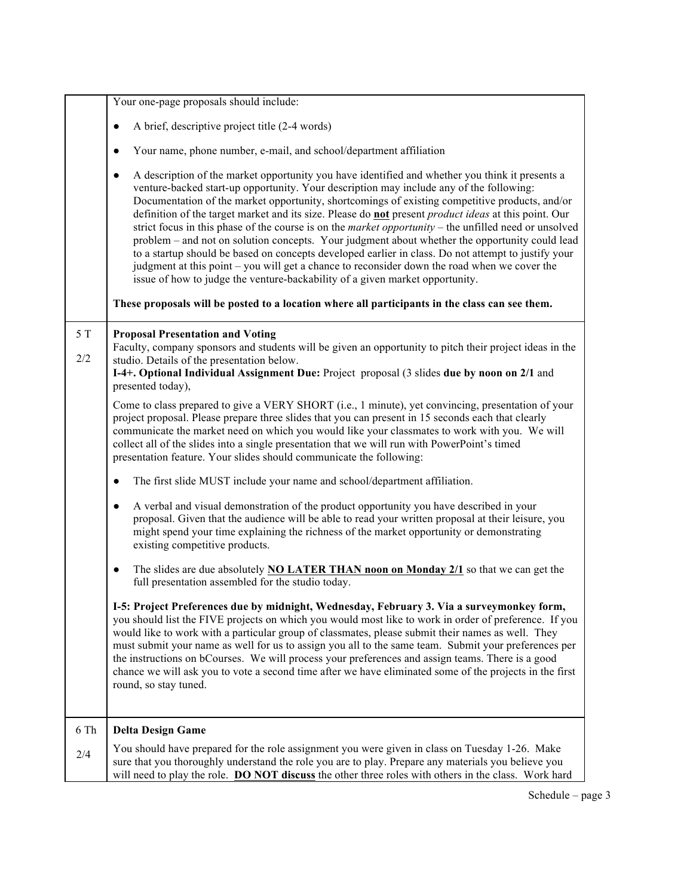|      | Your one-page proposals should include:                                                                                                                                                                                                                                                                                                                                                                                                                                                                                                                                                                                                                                                                                                                                                                                                                                                                                    |
|------|----------------------------------------------------------------------------------------------------------------------------------------------------------------------------------------------------------------------------------------------------------------------------------------------------------------------------------------------------------------------------------------------------------------------------------------------------------------------------------------------------------------------------------------------------------------------------------------------------------------------------------------------------------------------------------------------------------------------------------------------------------------------------------------------------------------------------------------------------------------------------------------------------------------------------|
|      |                                                                                                                                                                                                                                                                                                                                                                                                                                                                                                                                                                                                                                                                                                                                                                                                                                                                                                                            |
|      | A brief, descriptive project title (2-4 words)<br>$\bullet$                                                                                                                                                                                                                                                                                                                                                                                                                                                                                                                                                                                                                                                                                                                                                                                                                                                                |
|      | Your name, phone number, e-mail, and school/department affiliation<br>$\bullet$                                                                                                                                                                                                                                                                                                                                                                                                                                                                                                                                                                                                                                                                                                                                                                                                                                            |
|      | A description of the market opportunity you have identified and whether you think it presents a<br>$\bullet$<br>venture-backed start-up opportunity. Your description may include any of the following:<br>Documentation of the market opportunity, shortcomings of existing competitive products, and/or<br>definition of the target market and its size. Please do not present <i>product ideas</i> at this point. Our<br>strict focus in this phase of the course is on the market opportunity – the unfilled need or unsolved<br>problem – and not on solution concepts. Your judgment about whether the opportunity could lead<br>to a startup should be based on concepts developed earlier in class. Do not attempt to justify your<br>judgment at this point – you will get a chance to reconsider down the road when we cover the<br>issue of how to judge the venture-backability of a given market opportunity. |
|      | These proposals will be posted to a location where all participants in the class can see them.                                                                                                                                                                                                                                                                                                                                                                                                                                                                                                                                                                                                                                                                                                                                                                                                                             |
| 5T   | <b>Proposal Presentation and Voting</b>                                                                                                                                                                                                                                                                                                                                                                                                                                                                                                                                                                                                                                                                                                                                                                                                                                                                                    |
| 2/2  | Faculty, company sponsors and students will be given an opportunity to pitch their project ideas in the                                                                                                                                                                                                                                                                                                                                                                                                                                                                                                                                                                                                                                                                                                                                                                                                                    |
|      | studio. Details of the presentation below.<br>I-4+. Optional Individual Assignment Due: Project proposal (3 slides due by noon on 2/1 and<br>presented today),                                                                                                                                                                                                                                                                                                                                                                                                                                                                                                                                                                                                                                                                                                                                                             |
|      | Come to class prepared to give a VERY SHORT (i.e., 1 minute), yet convincing, presentation of your<br>project proposal. Please prepare three slides that you can present in 15 seconds each that clearly<br>communicate the market need on which you would like your classmates to work with you. We will<br>collect all of the slides into a single presentation that we will run with PowerPoint's timed<br>presentation feature. Your slides should communicate the following:                                                                                                                                                                                                                                                                                                                                                                                                                                          |
|      | The first slide MUST include your name and school/department affiliation.<br>$\bullet$                                                                                                                                                                                                                                                                                                                                                                                                                                                                                                                                                                                                                                                                                                                                                                                                                                     |
|      | A verbal and visual demonstration of the product opportunity you have described in your<br>$\bullet$<br>proposal. Given that the audience will be able to read your written proposal at their leisure, you<br>might spend your time explaining the richness of the market opportunity or demonstrating<br>existing competitive products.                                                                                                                                                                                                                                                                                                                                                                                                                                                                                                                                                                                   |
|      | The slides are due absolutely <b>NO LATER THAN noon on Monday 2/1</b> so that we can get the<br>$\bullet$<br>full presentation assembled for the studio today.                                                                                                                                                                                                                                                                                                                                                                                                                                                                                                                                                                                                                                                                                                                                                             |
|      | I-5: Project Preferences due by midnight, Wednesday, February 3. Via a surveymonkey form,<br>you should list the FIVE projects on which you would most like to work in order of preference. If you<br>would like to work with a particular group of classmates, please submit their names as well. They<br>must submit your name as well for us to assign you all to the same team. Submit your preferences per<br>the instructions on bCourses. We will process your preferences and assign teams. There is a good<br>chance we will ask you to vote a second time after we have eliminated some of the projects in the first<br>round, so stay tuned.                                                                                                                                                                                                                                                                    |
| 6 Th | <b>Delta Design Game</b>                                                                                                                                                                                                                                                                                                                                                                                                                                                                                                                                                                                                                                                                                                                                                                                                                                                                                                   |
| 2/4  | You should have prepared for the role assignment you were given in class on Tuesday 1-26. Make<br>sure that you thoroughly understand the role you are to play. Prepare any materials you believe you<br>will need to play the role. DO NOT discuss the other three roles with others in the class. Work hard                                                                                                                                                                                                                                                                                                                                                                                                                                                                                                                                                                                                              |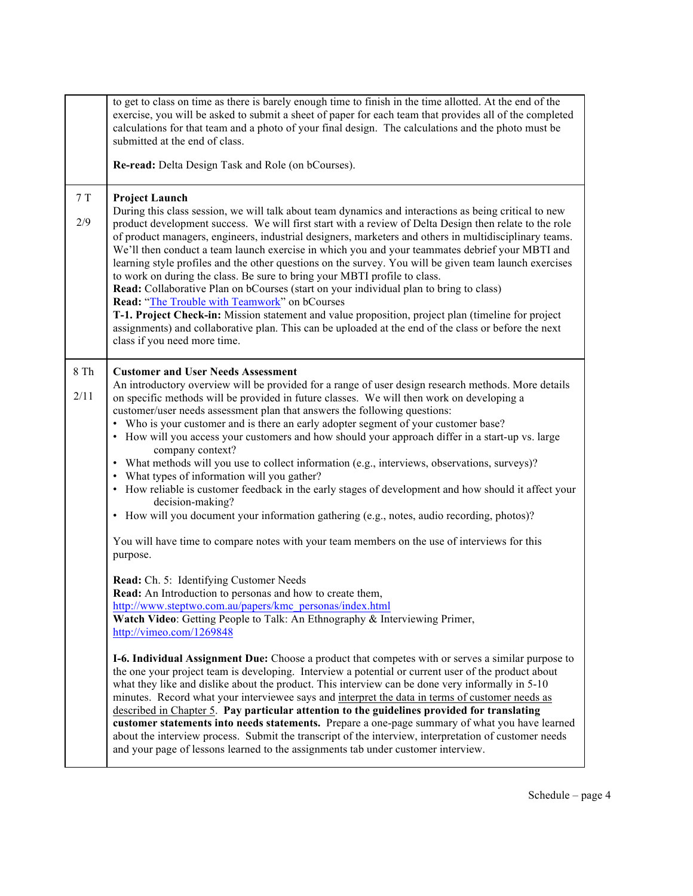|              | to get to class on time as there is barely enough time to finish in the time allotted. At the end of the<br>exercise, you will be asked to submit a sheet of paper for each team that provides all of the completed<br>calculations for that team and a photo of your final design. The calculations and the photo must be<br>submitted at the end of class.<br>Re-read: Delta Design Task and Role (on bCourses).                                                                                                                                                                                                                                                                                                                                                                                                                                                                                                                                                                                                                                                                                                                                                                                                                                                                                                                                                                                                   |
|--------------|----------------------------------------------------------------------------------------------------------------------------------------------------------------------------------------------------------------------------------------------------------------------------------------------------------------------------------------------------------------------------------------------------------------------------------------------------------------------------------------------------------------------------------------------------------------------------------------------------------------------------------------------------------------------------------------------------------------------------------------------------------------------------------------------------------------------------------------------------------------------------------------------------------------------------------------------------------------------------------------------------------------------------------------------------------------------------------------------------------------------------------------------------------------------------------------------------------------------------------------------------------------------------------------------------------------------------------------------------------------------------------------------------------------------|
| 7T<br>2/9    | <b>Project Launch</b><br>During this class session, we will talk about team dynamics and interactions as being critical to new<br>product development success. We will first start with a review of Delta Design then relate to the role<br>of product managers, engineers, industrial designers, marketers and others in multidisciplinary teams.<br>We'll then conduct a team launch exercise in which you and your teammates debrief your MBTI and<br>learning style profiles and the other questions on the survey. You will be given team launch exercises<br>to work on during the class. Be sure to bring your MBTI profile to class.<br>Read: Collaborative Plan on bCourses (start on your individual plan to bring to class)<br>Read: "The Trouble with Teamwork" on bCourses<br>T-1. Project Check-in: Mission statement and value proposition, project plan (timeline for project<br>assignments) and collaborative plan. This can be uploaded at the end of the class or before the next<br>class if you need more time.                                                                                                                                                                                                                                                                                                                                                                                |
| 8 Th<br>2/11 | <b>Customer and User Needs Assessment</b><br>An introductory overview will be provided for a range of user design research methods. More details<br>on specific methods will be provided in future classes. We will then work on developing a<br>customer/user needs assessment plan that answers the following questions:<br>• Who is your customer and is there an early adopter segment of your customer base?<br>• How will you access your customers and how should your approach differ in a start-up vs. large<br>company context?<br>• What methods will you use to collect information (e.g., interviews, observations, surveys)?<br>• What types of information will you gather?<br>• How reliable is customer feedback in the early stages of development and how should it affect your<br>decision-making?<br>• How will you document your information gathering (e.g., notes, audio recording, photos)?<br>You will have time to compare notes with your team members on the use of interviews for this<br>purpose.<br>Read: Ch. 5: Identifying Customer Needs<br>Read: An Introduction to personas and how to create them,<br>http://www.steptwo.com.au/papers/kmc_personas/index.html<br>Watch Video: Getting People to Talk: An Ethnography & Interviewing Primer,<br>http://vimeo.com/1269848<br>I-6. Individual Assignment Due: Choose a product that competes with or serves a similar purpose to |
|              | the one your project team is developing. Interview a potential or current user of the product about<br>what they like and dislike about the product. This interview can be done very informally in 5-10<br>minutes. Record what your interviewee says and interpret the data in terms of customer needs as<br>described in Chapter 5. Pay particular attention to the guidelines provided for translating<br>customer statements into needs statements. Prepare a one-page summary of what you have learned<br>about the interview process. Submit the transcript of the interview, interpretation of customer needs<br>and your page of lessons learned to the assignments tab under customer interview.                                                                                                                                                                                                                                                                                                                                                                                                                                                                                                                                                                                                                                                                                                            |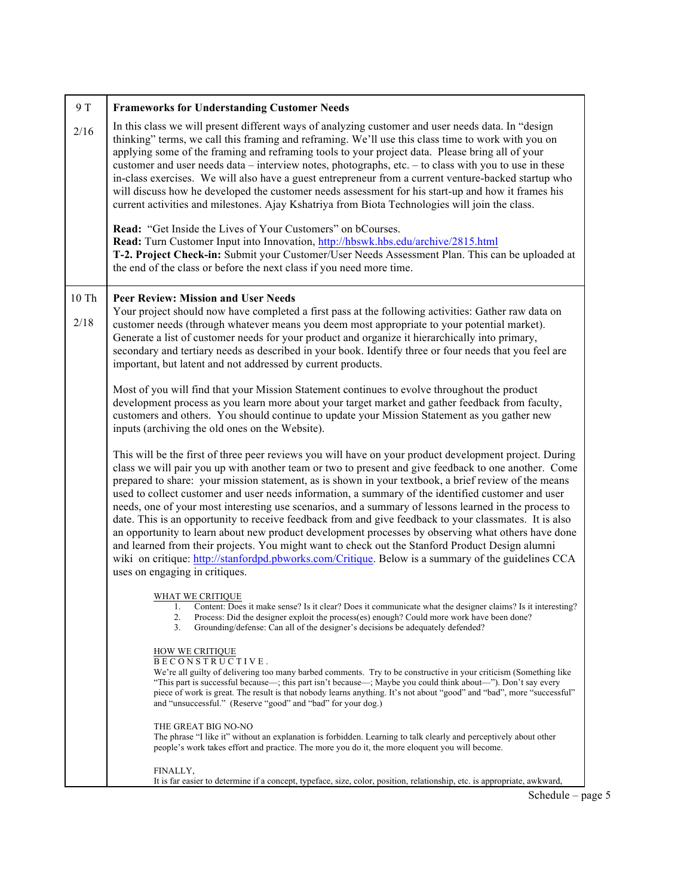| 9 T   | <b>Frameworks for Understanding Customer Needs</b>                                                                                                                                                                                                                                                                                                                                                                                                                                                                                                                                                                                                                                                                                                                                                                                                                                                                                                                                               |
|-------|--------------------------------------------------------------------------------------------------------------------------------------------------------------------------------------------------------------------------------------------------------------------------------------------------------------------------------------------------------------------------------------------------------------------------------------------------------------------------------------------------------------------------------------------------------------------------------------------------------------------------------------------------------------------------------------------------------------------------------------------------------------------------------------------------------------------------------------------------------------------------------------------------------------------------------------------------------------------------------------------------|
| 2/16  | In this class we will present different ways of analyzing customer and user needs data. In "design<br>thinking" terms, we call this framing and reframing. We'll use this class time to work with you on<br>applying some of the framing and reframing tools to your project data. Please bring all of your<br>customer and user needs data – interview notes, photographs, etc. – to class with you to use in these<br>in-class exercises. We will also have a guest entrepreneur from a current venture-backed startup who<br>will discuss how he developed the customer needs assessment for his start-up and how it frames his<br>current activities and milestones. Ajay Kshatriya from Biota Technologies will join the class.                                                                                                                                                                                                                                                             |
|       | Read: "Get Inside the Lives of Your Customers" on bCourses.<br>Read: Turn Customer Input into Innovation, http://hbswk.hbs.edu/archive/2815.html<br>T-2. Project Check-in: Submit your Customer/User Needs Assessment Plan. This can be uploaded at<br>the end of the class or before the next class if you need more time.                                                                                                                                                                                                                                                                                                                                                                                                                                                                                                                                                                                                                                                                      |
| 10 Th | <b>Peer Review: Mission and User Needs</b>                                                                                                                                                                                                                                                                                                                                                                                                                                                                                                                                                                                                                                                                                                                                                                                                                                                                                                                                                       |
| 2/18  | Your project should now have completed a first pass at the following activities: Gather raw data on<br>customer needs (through whatever means you deem most appropriate to your potential market).<br>Generate a list of customer needs for your product and organize it hierarchically into primary,<br>secondary and tertiary needs as described in your book. Identify three or four needs that you feel are<br>important, but latent and not addressed by current products.                                                                                                                                                                                                                                                                                                                                                                                                                                                                                                                  |
|       | Most of you will find that your Mission Statement continues to evolve throughout the product<br>development process as you learn more about your target market and gather feedback from faculty,<br>customers and others. You should continue to update your Mission Statement as you gather new<br>inputs (archiving the old ones on the Website).                                                                                                                                                                                                                                                                                                                                                                                                                                                                                                                                                                                                                                              |
|       | This will be the first of three peer reviews you will have on your product development project. During<br>class we will pair you up with another team or two to present and give feedback to one another. Come<br>prepared to share: your mission statement, as is shown in your textbook, a brief review of the means<br>used to collect customer and user needs information, a summary of the identified customer and user<br>needs, one of your most interesting use scenarios, and a summary of lessons learned in the process to<br>date. This is an opportunity to receive feedback from and give feedback to your classmates. It is also<br>an opportunity to learn about new product development processes by observing what others have done<br>and learned from their projects. You might want to check out the Stanford Product Design alumni<br>wiki on critique: http://stanfordpd.pbworks.com/Critique. Below is a summary of the guidelines CCA<br>uses on engaging in critiques. |
|       | WHAT WE CRITIQUE<br>Content: Does it make sense? Is it clear? Does it communicate what the designer claims? Is it interesting?<br>1.<br>2.<br>Process: Did the designer exploit the process(es) enough? Could more work have been done?<br>Grounding/defense: Can all of the designer's decisions be adequately defended?<br>3.                                                                                                                                                                                                                                                                                                                                                                                                                                                                                                                                                                                                                                                                  |
|       | <b>HOW WE CRITIQUE</b>                                                                                                                                                                                                                                                                                                                                                                                                                                                                                                                                                                                                                                                                                                                                                                                                                                                                                                                                                                           |
|       | BECONSTRUCTIVE.<br>We're all guilty of delivering too many barbed comments. Try to be constructive in your criticism (Something like<br>"This part is successful because—; this part isn't because—; Maybe you could think about—"). Don't say every<br>piece of work is great. The result is that nobody learns anything. It's not about "good" and "bad", more "successful"<br>and "unsuccessful." (Reserve "good" and "bad" for your dog.)                                                                                                                                                                                                                                                                                                                                                                                                                                                                                                                                                    |
|       | THE GREAT BIG NO-NO<br>The phrase "I like it" without an explanation is forbidden. Learning to talk clearly and perceptively about other<br>people's work takes effort and practice. The more you do it, the more eloquent you will become.                                                                                                                                                                                                                                                                                                                                                                                                                                                                                                                                                                                                                                                                                                                                                      |
|       | FINALLY,<br>It is far easier to determine if a concept, typeface, size, color, position, relationship, etc. is appropriate, awkward,                                                                                                                                                                                                                                                                                                                                                                                                                                                                                                                                                                                                                                                                                                                                                                                                                                                             |

Schedule – page 5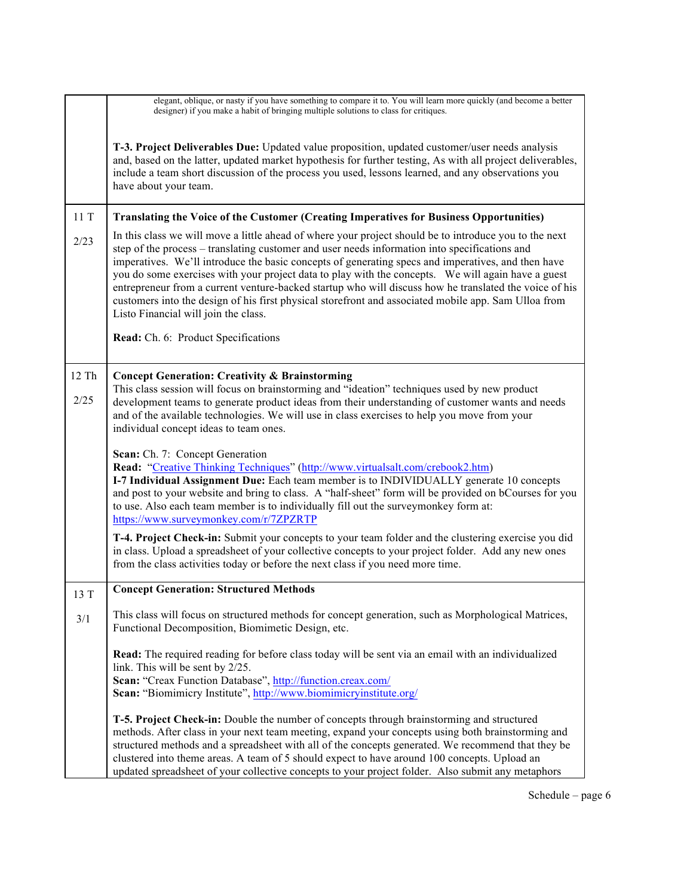|       | elegant, oblique, or nasty if you have something to compare it to. You will learn more quickly (and become a better<br>designer) if you make a habit of bringing multiple solutions to class for critiques.                                                                                                                                                                                                                                                                                                                                                                                                                                                                   |
|-------|-------------------------------------------------------------------------------------------------------------------------------------------------------------------------------------------------------------------------------------------------------------------------------------------------------------------------------------------------------------------------------------------------------------------------------------------------------------------------------------------------------------------------------------------------------------------------------------------------------------------------------------------------------------------------------|
|       | T-3. Project Deliverables Due: Updated value proposition, updated customer/user needs analysis<br>and, based on the latter, updated market hypothesis for further testing, As with all project deliverables,<br>include a team short discussion of the process you used, lessons learned, and any observations you<br>have about your team.                                                                                                                                                                                                                                                                                                                                   |
| 11T   | <b>Translating the Voice of the Customer (Creating Imperatives for Business Opportunities)</b>                                                                                                                                                                                                                                                                                                                                                                                                                                                                                                                                                                                |
| 2/23  | In this class we will move a little ahead of where your project should be to introduce you to the next<br>step of the process – translating customer and user needs information into specifications and<br>imperatives. We'll introduce the basic concepts of generating specs and imperatives, and then have<br>you do some exercises with your project data to play with the concepts. We will again have a guest<br>entrepreneur from a current venture-backed startup who will discuss how he translated the voice of his<br>customers into the design of his first physical storefront and associated mobile app. Sam Ulloa from<br>Listo Financial will join the class. |
|       | Read: Ch. 6: Product Specifications                                                                                                                                                                                                                                                                                                                                                                                                                                                                                                                                                                                                                                           |
| 12 Th | <b>Concept Generation: Creativity &amp; Brainstorming</b>                                                                                                                                                                                                                                                                                                                                                                                                                                                                                                                                                                                                                     |
| 2/25  | This class session will focus on brainstorming and "ideation" techniques used by new product<br>development teams to generate product ideas from their understanding of customer wants and needs<br>and of the available technologies. We will use in class exercises to help you move from your<br>individual concept ideas to team ones.                                                                                                                                                                                                                                                                                                                                    |
|       | Scan: Ch. 7: Concept Generation<br>Read: "Creative Thinking Techniques" (http://www.virtualsalt.com/crebook2.htm)<br>I-7 Individual Assignment Due: Each team member is to INDIVIDUALLY generate 10 concepts<br>and post to your website and bring to class. A "half-sheet" form will be provided on bCourses for you<br>to use. Also each team member is to individually fill out the surveymonkey form at:<br>https://www.surveymonkey.com/r/7ZPZRTP                                                                                                                                                                                                                        |
|       | T-4. Project Check-in: Submit your concepts to your team folder and the clustering exercise you did<br>in class. Upload a spreadsheet of your collective concepts to your project folder. Add any new ones<br>from the class activities today or before the next class if you need more time.                                                                                                                                                                                                                                                                                                                                                                                 |
| 13 T  | <b>Concept Generation: Structured Methods</b>                                                                                                                                                                                                                                                                                                                                                                                                                                                                                                                                                                                                                                 |
| 3/1   | This class will focus on structured methods for concept generation, such as Morphological Matrices,<br>Functional Decomposition, Biomimetic Design, etc.                                                                                                                                                                                                                                                                                                                                                                                                                                                                                                                      |
|       | Read: The required reading for before class today will be sent via an email with an individualized<br>link. This will be sent by 2/25.<br>Scan: "Creax Function Database", http://function.creax.com/<br>Scan: "Biomimicry Institute", http://www.biomimicryinstitute.org/                                                                                                                                                                                                                                                                                                                                                                                                    |
|       | T-5. Project Check-in: Double the number of concepts through brainstorming and structured<br>methods. After class in your next team meeting, expand your concepts using both brainstorming and<br>structured methods and a spreadsheet with all of the concepts generated. We recommend that they be<br>clustered into theme areas. A team of 5 should expect to have around 100 concepts. Upload an<br>updated spreadsheet of your collective concepts to your project folder. Also submit any metaphors                                                                                                                                                                     |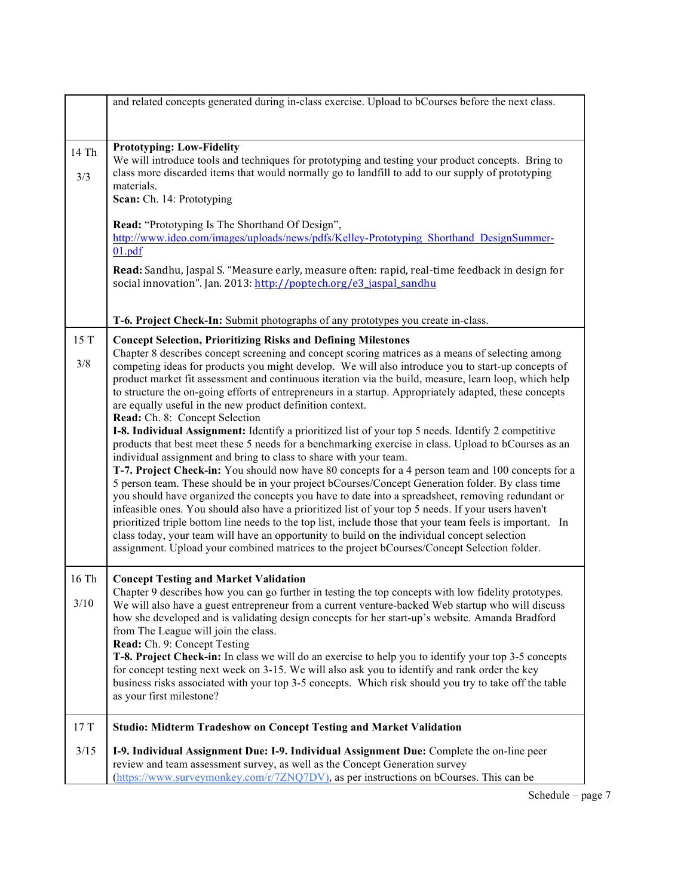|                 | and related concepts generated during in-class exercise. Upload to bCourses before the next class.                                                                                                                                                                                                                                                                                                                                                                                                                                                                                                                                                                                                                                                                                                                                                                                                                                                                                                                                                                                                                                                                                                                                                                                                                                                                                                                                                                                                                                                                                                                    |
|-----------------|-----------------------------------------------------------------------------------------------------------------------------------------------------------------------------------------------------------------------------------------------------------------------------------------------------------------------------------------------------------------------------------------------------------------------------------------------------------------------------------------------------------------------------------------------------------------------------------------------------------------------------------------------------------------------------------------------------------------------------------------------------------------------------------------------------------------------------------------------------------------------------------------------------------------------------------------------------------------------------------------------------------------------------------------------------------------------------------------------------------------------------------------------------------------------------------------------------------------------------------------------------------------------------------------------------------------------------------------------------------------------------------------------------------------------------------------------------------------------------------------------------------------------------------------------------------------------------------------------------------------------|
|                 |                                                                                                                                                                                                                                                                                                                                                                                                                                                                                                                                                                                                                                                                                                                                                                                                                                                                                                                                                                                                                                                                                                                                                                                                                                                                                                                                                                                                                                                                                                                                                                                                                       |
| 14 Th<br>3/3    | <b>Prototyping: Low-Fidelity</b><br>We will introduce tools and techniques for prototyping and testing your product concepts. Bring to<br>class more discarded items that would normally go to landfill to add to our supply of prototyping<br>materials.<br>Scan: Ch. 14: Prototyping<br>Read: "Prototyping Is The Shorthand Of Design",<br>http://www.ideo.com/images/uploads/news/pdfs/Kelley-Prototyping Shorthand DesignSummer-<br>01.pdf<br>Read: Sandhu, Jaspal S. "Measure early, measure often: rapid, real-time feedback in design for                                                                                                                                                                                                                                                                                                                                                                                                                                                                                                                                                                                                                                                                                                                                                                                                                                                                                                                                                                                                                                                                      |
|                 | social innovation". Jan. 2013: http://poptech.org/e3_jaspal_sandhu<br>T-6. Project Check-In: Submit photographs of any prototypes you create in-class.                                                                                                                                                                                                                                                                                                                                                                                                                                                                                                                                                                                                                                                                                                                                                                                                                                                                                                                                                                                                                                                                                                                                                                                                                                                                                                                                                                                                                                                                |
| 15 T<br>3/8     | <b>Concept Selection, Prioritizing Risks and Defining Milestones</b><br>Chapter 8 describes concept screening and concept scoring matrices as a means of selecting among<br>competing ideas for products you might develop. We will also introduce you to start-up concepts of<br>product market fit assessment and continuous iteration via the build, measure, learn loop, which help<br>to structure the on-going efforts of entrepreneurs in a startup. Appropriately adapted, these concepts<br>are equally useful in the new product definition context.<br>Read: Ch. 8: Concept Selection<br>I-8. Individual Assignment: Identify a prioritized list of your top 5 needs. Identify 2 competitive<br>products that best meet these 5 needs for a benchmarking exercise in class. Upload to bCourses as an<br>individual assignment and bring to class to share with your team.<br>T-7. Project Check-in: You should now have 80 concepts for a 4 person team and 100 concepts for a<br>5 person team. These should be in your project bCourses/Concept Generation folder. By class time<br>you should have organized the concepts you have to date into a spreadsheet, removing redundant or<br>infeasible ones. You should also have a prioritized list of your top 5 needs. If your users haven't<br>prioritized triple bottom line needs to the top list, include those that your team feels is important. In<br>class today, your team will have an opportunity to build on the individual concept selection<br>assignment. Upload your combined matrices to the project bCourses/Concept Selection folder. |
| 16 Th<br>$3/10$ | <b>Concept Testing and Market Validation</b><br>Chapter 9 describes how you can go further in testing the top concepts with low fidelity prototypes.<br>We will also have a guest entrepreneur from a current venture-backed Web startup who will discuss<br>how she developed and is validating design concepts for her start-up's website. Amanda Bradford<br>from The League will join the class.<br>Read: Ch. 9: Concept Testing<br><b>T-8. Project Check-in:</b> In class we will do an exercise to help you to identify your top 3-5 concepts<br>for concept testing next week on 3-15. We will also ask you to identify and rank order the key<br>business risks associated with your top 3-5 concepts. Which risk should you try to take off the table<br>as your first milestone?                                                                                                                                                                                                                                                                                                                                                                                                                                                                                                                                                                                                                                                                                                                                                                                                                            |
| 17T             | <b>Studio: Midterm Tradeshow on Concept Testing and Market Validation</b>                                                                                                                                                                                                                                                                                                                                                                                                                                                                                                                                                                                                                                                                                                                                                                                                                                                                                                                                                                                                                                                                                                                                                                                                                                                                                                                                                                                                                                                                                                                                             |
| 3/15            | I-9. Individual Assignment Due: I-9. Individual Assignment Due: Complete the on-line peer<br>review and team assessment survey, as well as the Concept Generation survey<br>(https://www.surveymonkey.com/r/7ZNQ7DV), as per instructions on bCourses. This can be                                                                                                                                                                                                                                                                                                                                                                                                                                                                                                                                                                                                                                                                                                                                                                                                                                                                                                                                                                                                                                                                                                                                                                                                                                                                                                                                                    |

Schedule – page 7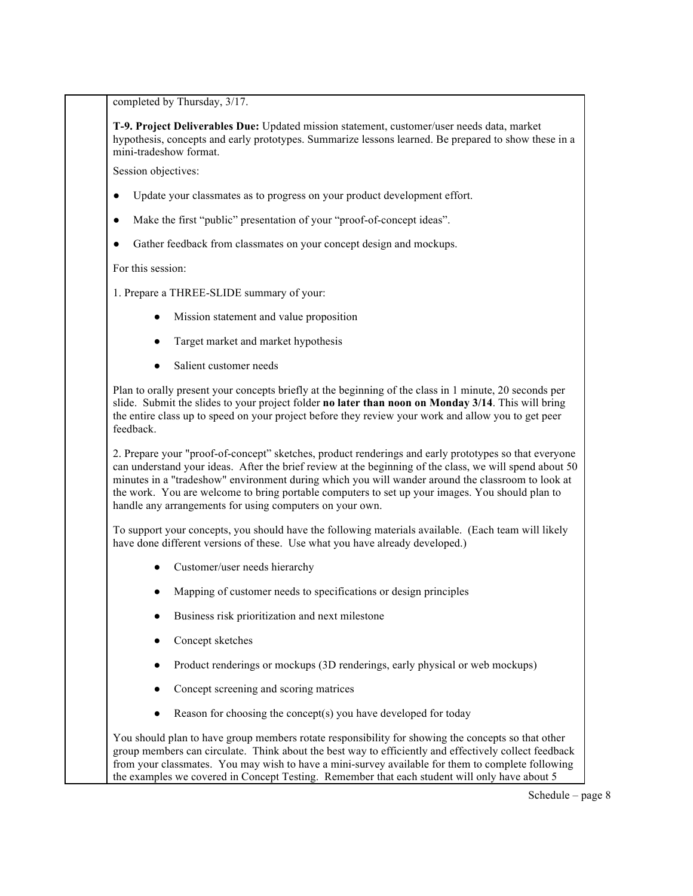completed by Thursday, 3/17.

**T-9. Project Deliverables Due:** Updated mission statement, customer/user needs data, market hypothesis, concepts and early prototypes. Summarize lessons learned. Be prepared to show these in a mini-tradeshow format.

Session objectives:

- Update your classmates as to progress on your product development effort.
- Make the first "public" presentation of your "proof-of-concept ideas".
- Gather feedback from classmates on your concept design and mockups.

For this session:

- 1. Prepare a THREE-SLIDE summary of your:
	- Mission statement and value proposition
	- Target market and market hypothesis
	- Salient customer needs

Plan to orally present your concepts briefly at the beginning of the class in 1 minute, 20 seconds per slide. Submit the slides to your project folder **no later than noon on Monday 3/14**. This will bring the entire class up to speed on your project before they review your work and allow you to get peer feedback.

2. Prepare your "proof-of-concept" sketches, product renderings and early prototypes so that everyone can understand your ideas. After the brief review at the beginning of the class, we will spend about 50 minutes in a "tradeshow" environment during which you will wander around the classroom to look at the work. You are welcome to bring portable computers to set up your images. You should plan to handle any arrangements for using computers on your own.

To support your concepts, you should have the following materials available. (Each team will likely have done different versions of these. Use what you have already developed.)

- Customer/user needs hierarchy
- Mapping of customer needs to specifications or design principles
- Business risk prioritization and next milestone
- Concept sketches
- Product renderings or mockups (3D renderings, early physical or web mockups)
- Concept screening and scoring matrices
- Reason for choosing the concept(s) you have developed for today

You should plan to have group members rotate responsibility for showing the concepts so that other group members can circulate. Think about the best way to efficiently and effectively collect feedback from your classmates. You may wish to have a mini-survey available for them to complete following the examples we covered in Concept Testing. Remember that each student will only have about 5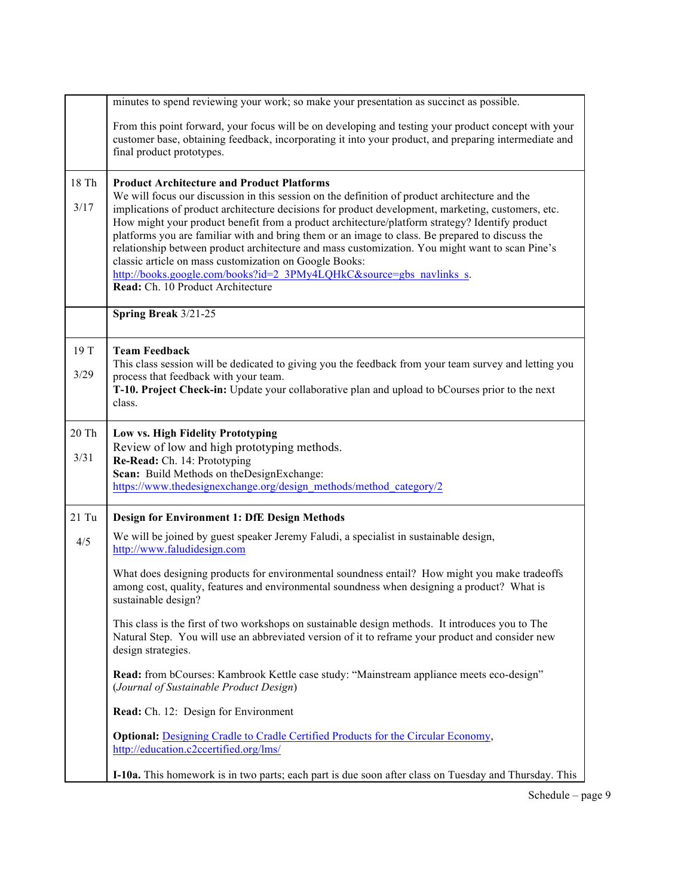|               | minutes to spend reviewing your work; so make your presentation as succinct as possible.                                                                                                                                                                                                                                                                                                                                                                                                                                                                                                                                                                                                                                                 |
|---------------|------------------------------------------------------------------------------------------------------------------------------------------------------------------------------------------------------------------------------------------------------------------------------------------------------------------------------------------------------------------------------------------------------------------------------------------------------------------------------------------------------------------------------------------------------------------------------------------------------------------------------------------------------------------------------------------------------------------------------------------|
|               | From this point forward, your focus will be on developing and testing your product concept with your<br>customer base, obtaining feedback, incorporating it into your product, and preparing intermediate and<br>final product prototypes.                                                                                                                                                                                                                                                                                                                                                                                                                                                                                               |
| 18 Th<br>3/17 | <b>Product Architecture and Product Platforms</b><br>We will focus our discussion in this session on the definition of product architecture and the<br>implications of product architecture decisions for product development, marketing, customers, etc.<br>How might your product benefit from a product architecture/platform strategy? Identify product<br>platforms you are familiar with and bring them or an image to class. Be prepared to discuss the<br>relationship between product architecture and mass customization. You might want to scan Pine's<br>classic article on mass customization on Google Books:<br>http://books.google.com/books?id=2_3PMy4LQHkC&source=gbs_navlinks_s.<br>Read: Ch. 10 Product Architecture |
|               | Spring Break 3/21-25                                                                                                                                                                                                                                                                                                                                                                                                                                                                                                                                                                                                                                                                                                                     |
| 19 T<br>3/29  | <b>Team Feedback</b><br>This class session will be dedicated to giving you the feedback from your team survey and letting you<br>process that feedback with your team.<br>T-10. Project Check-in: Update your collaborative plan and upload to bCourses prior to the next<br>class.                                                                                                                                                                                                                                                                                                                                                                                                                                                      |
| 20 Th<br>3/31 | Low vs. High Fidelity Prototyping<br>Review of low and high prototyping methods.<br>Re-Read: Ch. 14: Prototyping<br>Scan: Build Methods on the Design Exchange:<br>https://www.thedesignexchange.org/design_methods/method_category/2                                                                                                                                                                                                                                                                                                                                                                                                                                                                                                    |
| $21$ Tu       | <b>Design for Environment 1: DfE Design Methods</b>                                                                                                                                                                                                                                                                                                                                                                                                                                                                                                                                                                                                                                                                                      |
| 4/5           | We will be joined by guest speaker Jeremy Faludi, a specialist in sustainable design,<br>http://www.faludidesign.com                                                                                                                                                                                                                                                                                                                                                                                                                                                                                                                                                                                                                     |
|               | What does designing products for environmental soundness entail? How might you make tradeoffs<br>among cost, quality, features and environmental soundness when designing a product? What is<br>sustainable design?                                                                                                                                                                                                                                                                                                                                                                                                                                                                                                                      |
|               | This class is the first of two workshops on sustainable design methods. It introduces you to The<br>Natural Step. You will use an abbreviated version of it to reframe your product and consider new<br>design strategies.                                                                                                                                                                                                                                                                                                                                                                                                                                                                                                               |
|               | Read: from bCourses: Kambrook Kettle case study: "Mainstream appliance meets eco-design"<br>(Journal of Sustainable Product Design)                                                                                                                                                                                                                                                                                                                                                                                                                                                                                                                                                                                                      |
|               | Read: Ch. 12: Design for Environment                                                                                                                                                                                                                                                                                                                                                                                                                                                                                                                                                                                                                                                                                                     |
|               | <b>Optional: Designing Cradle to Cradle Certified Products for the Circular Economy,</b><br>http://education.c2ccertified.org/lms/                                                                                                                                                                                                                                                                                                                                                                                                                                                                                                                                                                                                       |
|               | I-10a. This homework is in two parts; each part is due soon after class on Tuesday and Thursday. This                                                                                                                                                                                                                                                                                                                                                                                                                                                                                                                                                                                                                                    |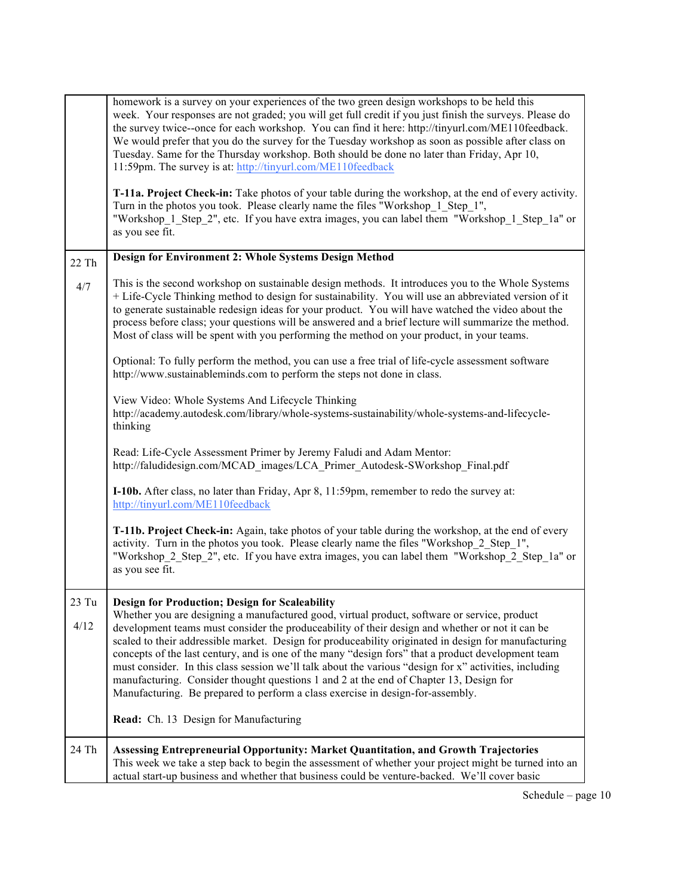|               | homework is a survey on your experiences of the two green design workshops to be held this<br>week. Your responses are not graded; you will get full credit if you just finish the surveys. Please do<br>the survey twice-once for each workshop. You can find it here: http://tinyurl.com/ME110feedback.<br>We would prefer that you do the survey for the Tuesday workshop as soon as possible after class on<br>Tuesday. Same for the Thursday workshop. Both should be done no later than Friday, Apr 10,<br>11:59pm. The survey is at: http://tinyurl.com/ME110feedback<br>T-11a. Project Check-in: Take photos of your table during the workshop, at the end of every activity.                                                                        |
|---------------|--------------------------------------------------------------------------------------------------------------------------------------------------------------------------------------------------------------------------------------------------------------------------------------------------------------------------------------------------------------------------------------------------------------------------------------------------------------------------------------------------------------------------------------------------------------------------------------------------------------------------------------------------------------------------------------------------------------------------------------------------------------|
|               | Turn in the photos you took. Please clearly name the files "Workshop 1 Step 1",<br>"Workshop 1 Step 2", etc. If you have extra images, you can label them "Workshop 1 Step 1a" or<br>as you see fit.                                                                                                                                                                                                                                                                                                                                                                                                                                                                                                                                                         |
| 22 Th         | Design for Environment 2: Whole Systems Design Method                                                                                                                                                                                                                                                                                                                                                                                                                                                                                                                                                                                                                                                                                                        |
| 4/7           | This is the second workshop on sustainable design methods. It introduces you to the Whole Systems<br>+ Life-Cycle Thinking method to design for sustainability. You will use an abbreviated version of it<br>to generate sustainable redesign ideas for your product. You will have watched the video about the<br>process before class; your questions will be answered and a brief lecture will summarize the method.<br>Most of class will be spent with you performing the method on your product, in your teams.                                                                                                                                                                                                                                        |
|               | Optional: To fully perform the method, you can use a free trial of life-cycle assessment software<br>http://www.sustainableminds.com to perform the steps not done in class.                                                                                                                                                                                                                                                                                                                                                                                                                                                                                                                                                                                 |
|               | View Video: Whole Systems And Lifecycle Thinking<br>http://academy.autodesk.com/library/whole-systems-sustainability/whole-systems-and-lifecycle-<br>thinking                                                                                                                                                                                                                                                                                                                                                                                                                                                                                                                                                                                                |
|               | Read: Life-Cycle Assessment Primer by Jeremy Faludi and Adam Mentor:<br>http://faludidesign.com/MCAD images/LCA Primer Autodesk-SWorkshop Final.pdf                                                                                                                                                                                                                                                                                                                                                                                                                                                                                                                                                                                                          |
|               | I-10b. After class, no later than Friday, Apr 8, 11:59pm, remember to redo the survey at:<br>http://tinyurl.com/ME110feedback                                                                                                                                                                                                                                                                                                                                                                                                                                                                                                                                                                                                                                |
|               | T-11b. Project Check-in: Again, take photos of your table during the workshop, at the end of every<br>activity. Turn in the photos you took. Please clearly name the files "Workshop 2 Step 1",<br>"Workshop_2_Step_2", etc. If you have extra images, you can label them "Workshop_2_Step_1a" or<br>as you see fit.                                                                                                                                                                                                                                                                                                                                                                                                                                         |
| 23 Tu<br>4/12 | <b>Design for Production; Design for Scaleability</b><br>Whether you are designing a manufactured good, virtual product, software or service, product<br>development teams must consider the produceability of their design and whether or not it can be<br>scaled to their addressible market. Design for produceability originated in design for manufacturing<br>concepts of the last century, and is one of the many "design fors" that a product development team<br>must consider. In this class session we'll talk about the various "design for x" activities, including<br>manufacturing. Consider thought questions 1 and 2 at the end of Chapter 13, Design for<br>Manufacturing. Be prepared to perform a class exercise in design-for-assembly. |
|               | Read: Ch. 13 Design for Manufacturing                                                                                                                                                                                                                                                                                                                                                                                                                                                                                                                                                                                                                                                                                                                        |
| 24 Th         | Assessing Entrepreneurial Opportunity: Market Quantitation, and Growth Trajectories<br>This week we take a step back to begin the assessment of whether your project might be turned into an<br>actual start-up business and whether that business could be venture-backed. We'll cover basic                                                                                                                                                                                                                                                                                                                                                                                                                                                                |

Schedule – page 10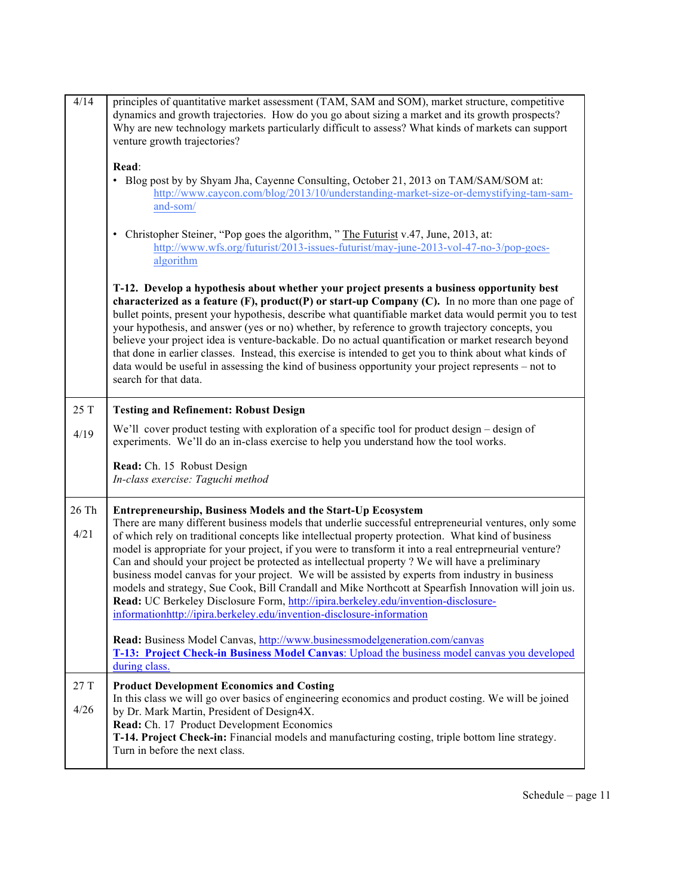| 4/14         | principles of quantitative market assessment (TAM, SAM and SOM), market structure, competitive<br>dynamics and growth trajectories. How do you go about sizing a market and its growth prospects?<br>Why are new technology markets particularly difficult to assess? What kinds of markets can support<br>venture growth trajectories?                                                                                                                                                                                                                                                                                                                                                                                                                                                             |
|--------------|-----------------------------------------------------------------------------------------------------------------------------------------------------------------------------------------------------------------------------------------------------------------------------------------------------------------------------------------------------------------------------------------------------------------------------------------------------------------------------------------------------------------------------------------------------------------------------------------------------------------------------------------------------------------------------------------------------------------------------------------------------------------------------------------------------|
|              | Read:<br>• Blog post by by Shyam Jha, Cayenne Consulting, October 21, 2013 on TAM/SAM/SOM at:<br>http://www.caycon.com/blog/2013/10/understanding-market-size-or-demystifying-tam-sam-<br>and-som/                                                                                                                                                                                                                                                                                                                                                                                                                                                                                                                                                                                                  |
|              | • Christopher Steiner, "Pop goes the algorithm, " The Futurist v.47, June, 2013, at:<br>http://www.wfs.org/futurist/2013-issues-futurist/may-june-2013-vol-47-no-3/pop-goes-<br>algorithm                                                                                                                                                                                                                                                                                                                                                                                                                                                                                                                                                                                                           |
|              | T-12. Develop a hypothesis about whether your project presents a business opportunity best<br>characterized as a feature $(F)$ , product $(P)$ or start-up Company $(C)$ . In no more than one page of<br>bullet points, present your hypothesis, describe what quantifiable market data would permit you to test<br>your hypothesis, and answer (yes or no) whether, by reference to growth trajectory concepts, you<br>believe your project idea is venture-backable. Do no actual quantification or market research beyond<br>that done in earlier classes. Instead, this exercise is intended to get you to think about what kinds of<br>data would be useful in assessing the kind of business opportunity your project represents - not to<br>search for that data.                           |
| 25 T         | <b>Testing and Refinement: Robust Design</b>                                                                                                                                                                                                                                                                                                                                                                                                                                                                                                                                                                                                                                                                                                                                                        |
| 4/19         | We'll cover product testing with exploration of a specific tool for product design – design of<br>experiments. We'll do an in-class exercise to help you understand how the tool works.                                                                                                                                                                                                                                                                                                                                                                                                                                                                                                                                                                                                             |
|              | Read: Ch. 15 Robust Design<br>In-class exercise: Taguchi method                                                                                                                                                                                                                                                                                                                                                                                                                                                                                                                                                                                                                                                                                                                                     |
| 26 Th        | <b>Entrepreneurship, Business Models and the Start-Up Ecosystem</b>                                                                                                                                                                                                                                                                                                                                                                                                                                                                                                                                                                                                                                                                                                                                 |
| 4/21         | There are many different business models that underlie successful entrepreneurial ventures, only some<br>of which rely on traditional concepts like intellectual property protection. What kind of business<br>model is appropriate for your project, if you were to transform it into a real entreprneurial venture?<br>Can and should your project be protected as intellectual property ? We will have a preliminary<br>business model canvas for your project. We will be assisted by experts from industry in business<br>models and strategy, Sue Cook, Bill Crandall and Mike Northcott at Spearfish Innovation will join us.<br>Read: UC Berkeley Disclosure Form, http://ipira.berkeley.edu/invention-disclosure-<br>informationhttp://ipira.berkeley.edu/invention-disclosure-information |
|              | Read: Business Model Canvas, http://www.businessmodelgeneration.com/canvas<br>T-13: Project Check-in Business Model Canvas: Upload the business model canvas you developed<br>during class.                                                                                                                                                                                                                                                                                                                                                                                                                                                                                                                                                                                                         |
| 27 T<br>4/26 | <b>Product Development Economics and Costing</b><br>In this class we will go over basics of engineering economics and product costing. We will be joined<br>by Dr. Mark Martin, President of Design4X.<br>Read: Ch. 17 Product Development Economics<br>T-14. Project Check-in: Financial models and manufacturing costing, triple bottom line strategy.<br>Turn in before the next class.                                                                                                                                                                                                                                                                                                                                                                                                          |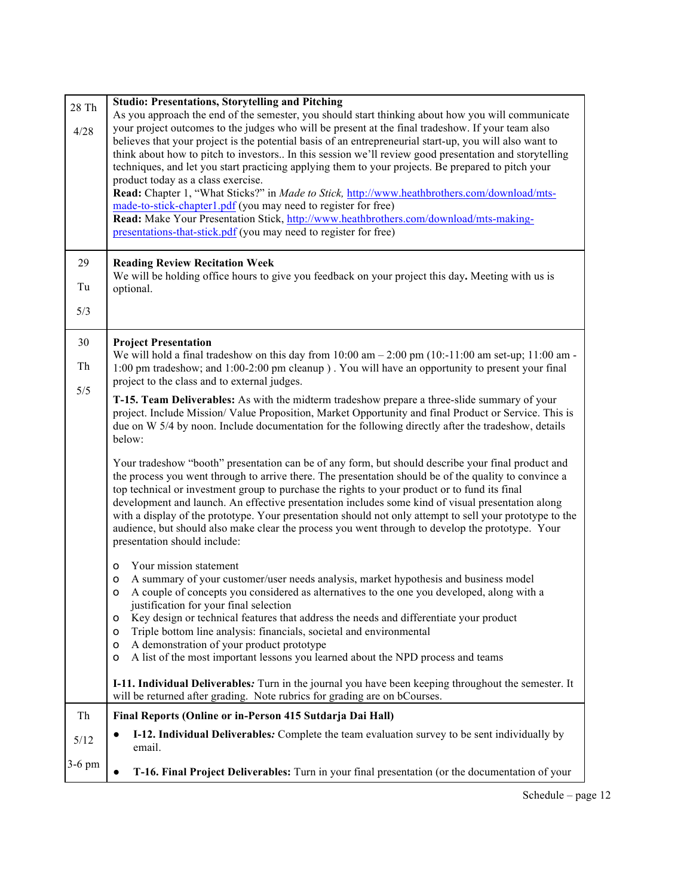| 28 Th<br>4/28 | <b>Studio: Presentations, Storytelling and Pitching</b><br>As you approach the end of the semester, you should start thinking about how you will communicate<br>your project outcomes to the judges who will be present at the final tradeshow. If your team also<br>believes that your project is the potential basis of an entrepreneurial start-up, you will also want to<br>think about how to pitch to investors In this session we'll review good presentation and storytelling<br>techniques, and let you start practicing applying them to your projects. Be prepared to pitch your<br>product today as a class exercise.<br>Read: Chapter 1, "What Sticks?" in Made to Stick, http://www.heathbrothers.com/download/mts-<br>made-to-stick-chapter1.pdf (you may need to register for free)<br>Read: Make Your Presentation Stick, http://www.heathbrothers.com/download/mts-making-<br>presentations-that-stick.pdf (you may need to register for free) |
|---------------|------------------------------------------------------------------------------------------------------------------------------------------------------------------------------------------------------------------------------------------------------------------------------------------------------------------------------------------------------------------------------------------------------------------------------------------------------------------------------------------------------------------------------------------------------------------------------------------------------------------------------------------------------------------------------------------------------------------------------------------------------------------------------------------------------------------------------------------------------------------------------------------------------------------------------------------------------------------|
| 29            | <b>Reading Review Recitation Week</b><br>We will be holding office hours to give you feedback on your project this day. Meeting with us is                                                                                                                                                                                                                                                                                                                                                                                                                                                                                                                                                                                                                                                                                                                                                                                                                       |
| Tu            | optional.                                                                                                                                                                                                                                                                                                                                                                                                                                                                                                                                                                                                                                                                                                                                                                                                                                                                                                                                                        |
| 5/3           |                                                                                                                                                                                                                                                                                                                                                                                                                                                                                                                                                                                                                                                                                                                                                                                                                                                                                                                                                                  |
| 30            | <b>Project Presentation</b><br>We will hold a final tradeshow on this day from $10:00 \text{ am} - 2:00 \text{ pm } (10:-11:00 \text{ am set-up}; 11:00 \text{ am} - 11:00 \text{ am} - 11:00 \text{ am} - 11:00 \text{ am} - 11:00 \text{ am} - 11:00 \text{ am} - 11:00 \text{ am} - 11:00 \text{ am} - 11:00 \text{ am} - 11:00 \text{ am} - 11:00 \text{ am} - 11$                                                                                                                                                                                                                                                                                                                                                                                                                                                                                                                                                                                           |
| Th<br>5/5     | 1:00 pm tradeshow; and 1:00-2:00 pm cleanup). You will have an opportunity to present your final<br>project to the class and to external judges.                                                                                                                                                                                                                                                                                                                                                                                                                                                                                                                                                                                                                                                                                                                                                                                                                 |
|               | T-15. Team Deliverables: As with the midterm tradeshow prepare a three-slide summary of your<br>project. Include Mission/Value Proposition, Market Opportunity and final Product or Service. This is<br>due on W 5/4 by noon. Include documentation for the following directly after the tradeshow, details<br>below:                                                                                                                                                                                                                                                                                                                                                                                                                                                                                                                                                                                                                                            |
|               | Your tradeshow "booth" presentation can be of any form, but should describe your final product and<br>the process you went through to arrive there. The presentation should be of the quality to convince a<br>top technical or investment group to purchase the rights to your product or to fund its final<br>development and launch. An effective presentation includes some kind of visual presentation along<br>with a display of the prototype. Your presentation should not only attempt to sell your prototype to the<br>audience, but should also make clear the process you went through to develop the prototype. Your<br>presentation should include:                                                                                                                                                                                                                                                                                                |
|               | Your mission statement<br>o<br>A summary of your customer/user needs analysis, market hypothesis and business model<br>$\circ$<br>A couple of concepts you considered as alternatives to the one you developed, along with a<br>o<br>justification for your final selection<br>Key design or technical features that address the needs and differentiate your product<br>0<br>Triple bottom line analysis: financials, societal and environmental<br>o<br>A demonstration of your product prototype<br>o<br>A list of the most important lessons you learned about the NPD process and teams<br>0                                                                                                                                                                                                                                                                                                                                                                |
|               | I-11. Individual Deliverables: Turn in the journal you have been keeping throughout the semester. It<br>will be returned after grading. Note rubrics for grading are on bCourses.                                                                                                                                                                                                                                                                                                                                                                                                                                                                                                                                                                                                                                                                                                                                                                                |
| Th            | Final Reports (Online or in-Person 415 Sutdarja Dai Hall)                                                                                                                                                                                                                                                                                                                                                                                                                                                                                                                                                                                                                                                                                                                                                                                                                                                                                                        |
| 5/12          | I-12. Individual Deliverables: Complete the team evaluation survey to be sent individually by<br>email.                                                                                                                                                                                                                                                                                                                                                                                                                                                                                                                                                                                                                                                                                                                                                                                                                                                          |
| $3-6$ pm      | T-16. Final Project Deliverables: Turn in your final presentation (or the documentation of your<br>$\bullet$                                                                                                                                                                                                                                                                                                                                                                                                                                                                                                                                                                                                                                                                                                                                                                                                                                                     |